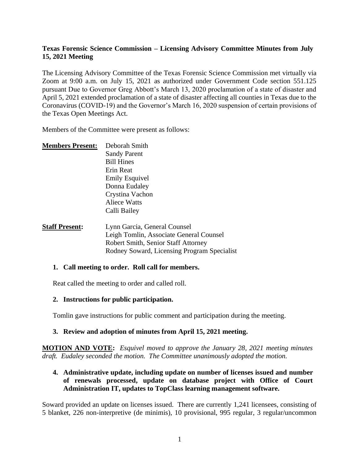### **Texas Forensic Science Commission – Licensing Advisory Committee Minutes from July 15, 2021 Meeting**

The Licensing Advisory Committee of the Texas Forensic Science Commission met virtually via Zoom at 9:00 a.m. on July 15, 2021 as authorized under Government Code section 551.125 pursuant Due to Governor Greg Abbott's March 13, 2020 proclamation of a state of disaster and April 5, 2021 extended proclamation of a state of disaster affecting all counties in Texas due to the Coronavirus (COVID-19) and the Governor's March 16, 2020 suspension of certain provisions of the Texas Open Meetings Act.

Members of the Committee were present as follows:

| <b>Members Present:</b> | Deborah Smith               |
|-------------------------|-----------------------------|
|                         | <b>Sandy Parent</b>         |
|                         | <b>Bill Hines</b>           |
|                         | Erin Reat                   |
|                         | <b>Emily Esquivel</b>       |
|                         | Donna Eudaley               |
|                         | Crystina Vachon             |
|                         | Aliece Watts                |
|                         | Calli Bailey                |
| Staff Present.          | I ynn Garcia - General Coun |

**Staff Present:** Lynn Garcia, General Counsel Leigh Tomlin, Associate General Counsel Robert Smith, Senior Staff Attorney Rodney Soward, Licensing Program Specialist

#### **1. Call meeting to order. Roll call for members.**

Reat called the meeting to order and called roll.

#### **2. Instructions for public participation.**

Tomlin gave instructions for public comment and participation during the meeting.

### **3. Review and adoption of minutes from April 15, 2021 meeting.**

**MOTION AND VOTE:** *Esquivel moved to approve the January 28, 2021 meeting minutes draft. Eudaley seconded the motion. The Committee unanimously adopted the motion.*

#### **4. Administrative update, including update on number of licenses issued and number of renewals processed, update on database project with Office of Court Administration IT, updates to TopClass learning management software.**

Soward provided an update on licenses issued. There are currently 1,241 licensees, consisting of 5 blanket, 226 non-interpretive (de minimis), 10 provisional, 995 regular, 3 regular/uncommon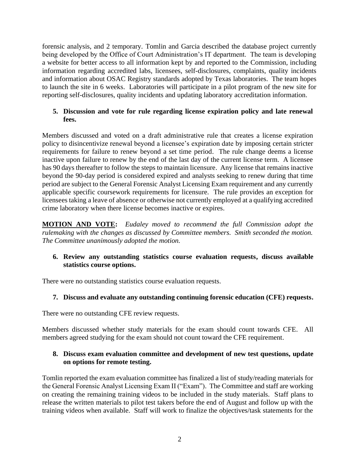forensic analysis, and 2 temporary. Tomlin and Garcia described the database project currently being developed by the Office of Court Administration's IT department. The team is developing a website for better access to all information kept by and reported to the Commission, including information regarding accredited labs, licensees, self-disclosures, complaints, quality incidents and information about OSAC Registry standards adopted by Texas laboratories. The team hopes to launch the site in 6 weeks. Laboratories will participate in a pilot program of the new site for reporting self-disclosures, quality incidents and updating laboratory accreditation information.

### **5. Discussion and vote for rule regarding license expiration policy and late renewal fees.**

Members discussed and voted on a draft administrative rule that creates a license expiration policy to disincentivize renewal beyond a licensee's expiration date by imposing certain stricter requirements for failure to renew beyond a set time period. The rule change deems a license inactive upon failure to renew by the end of the last day of the current license term. A licensee has 90 days thereafter to follow the steps to maintain licensure. Any license that remains inactive beyond the 90-day period is considered expired and analysts seeking to renew during that time period are subject to the General Forensic Analyst Licensing Exam requirement and any currently applicable specific coursework requirements for licensure. The rule provides an exception for licensees taking a leave of absence or otherwise not currently employed at a qualifying accredited crime laboratory when there license becomes inactive or expires.

**MOTION AND VOTE:** *Eudaley moved to recommend the full Commission adopt the rulemaking with the changes as discussed by Committee members. Smith seconded the motion. The Committee unanimously adopted the motion.*

### **6. Review any outstanding statistics course evaluation requests, discuss available statistics course options.**

There were no outstanding statistics course evaluation requests.

### **7. Discuss and evaluate any outstanding continuing forensic education (CFE) requests.**

There were no outstanding CFE review requests.

Members discussed whether study materials for the exam should count towards CFE. All members agreed studying for the exam should not count toward the CFE requirement.

### **8. Discuss exam evaluation committee and development of new test questions, update on options for remote testing.**

Tomlin reported the exam evaluation committee has finalized a list of study/reading materials for the General Forensic Analyst Licensing Exam II ("Exam"). The Committee and staff are working on creating the remaining training videos to be included in the study materials. Staff plans to release the written materials to pilot test takers before the end of August and follow up with the training videos when available. Staff will work to finalize the objectives/task statements for the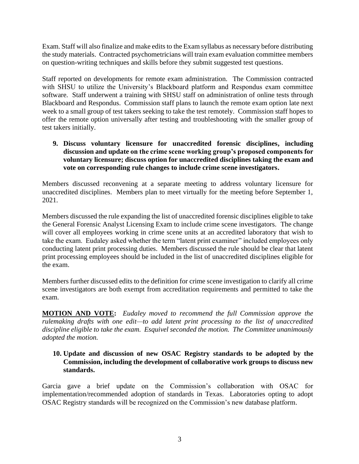Exam. Staff will also finalize and make edits to the Exam syllabus as necessary before distributing the study materials. Contracted psychometricians will train exam evaluation committee members on question-writing techniques and skills before they submit suggested test questions.

Staff reported on developments for remote exam administration. The Commission contracted with SHSU to utilize the University's Blackboard platform and Respondus exam committee software. Staff underwent a training with SHSU staff on administration of online tests through Blackboard and Respondus. Commission staff plans to launch the remote exam option late next week to a small group of test takers seeking to take the test remotely. Commission staff hopes to offer the remote option universally after testing and troubleshooting with the smaller group of test takers initially.

**9. Discuss voluntary licensure for unaccredited forensic disciplines, including discussion and update on the crime scene working group's proposed components for voluntary licensure; discuss option for unaccredited disciplines taking the exam and vote on corresponding rule changes to include crime scene investigators.** 

Members discussed reconvening at a separate meeting to address voluntary licensure for unaccredited disciplines. Members plan to meet virtually for the meeting before September 1, 2021.

Members discussed the rule expanding the list of unaccredited forensic disciplines eligible to take the General Forensic Analyst Licensing Exam to include crime scene investigators. The change will cover all employees working in crime scene units at an accredited laboratory that wish to take the exam. Eudaley asked whether the term "latent print examiner" included employees only conducting latent print processing duties. Members discussed the rule should be clear that latent print processing employees should be included in the list of unaccredited disciplines eligible for the exam.

Members further discussed edits to the definition for crime scene investigation to clarify all crime scene investigators are both exempt from accreditation requirements and permitted to take the exam.

**MOTION AND VOTE:** *Eudaley moved to recommend the full Commission approve the rulemaking drafts with one edit—to add latent print processing to the list of unaccredited discipline eligible to take the exam. Esquivel seconded the motion. The Committee unanimously adopted the motion.*

### **10. Update and discussion of new OSAC Registry standards to be adopted by the Commission, including the development of collaborative work groups to discuss new standards.**

Garcia gave a brief update on the Commission's collaboration with OSAC for implementation/recommended adoption of standards in Texas. Laboratories opting to adopt OSAC Registry standards will be recognized on the Commission's new database platform.